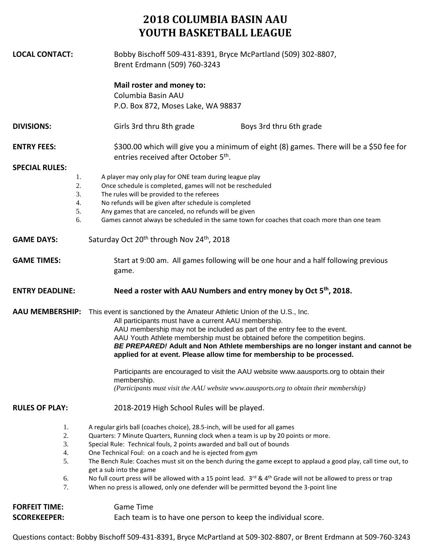## **2018 COLUMBIA BASIN AAU YOUTH BASKETBALL LEAGUE**

| <b>LOCAL CONTACT:</b>                       | Bobby Bischoff 509-431-8391, Bryce McPartland (509) 302-8807,<br>Brent Erdmann (509) 760-3243                                                                                                                                                                                                                                                                                                                                                                  |  |  |  |  |
|---------------------------------------------|----------------------------------------------------------------------------------------------------------------------------------------------------------------------------------------------------------------------------------------------------------------------------------------------------------------------------------------------------------------------------------------------------------------------------------------------------------------|--|--|--|--|
|                                             | Mail roster and money to:                                                                                                                                                                                                                                                                                                                                                                                                                                      |  |  |  |  |
|                                             | Columbia Basin AAU                                                                                                                                                                                                                                                                                                                                                                                                                                             |  |  |  |  |
|                                             | P.O. Box 872, Moses Lake, WA 98837                                                                                                                                                                                                                                                                                                                                                                                                                             |  |  |  |  |
| <b>DIVISIONS:</b>                           | Girls 3rd thru 8th grade<br>Boys 3rd thru 6th grade                                                                                                                                                                                                                                                                                                                                                                                                            |  |  |  |  |
| <b>ENTRY FEES:</b>                          | \$300.00 which will give you a minimum of eight (8) games. There will be a \$50 fee for<br>entries received after October 5 <sup>th</sup> .                                                                                                                                                                                                                                                                                                                    |  |  |  |  |
| <b>SPECIAL RULES:</b>                       |                                                                                                                                                                                                                                                                                                                                                                                                                                                                |  |  |  |  |
| 1.<br>2.<br>3.                              | A player may only play for ONE team during league play<br>Once schedule is completed, games will not be rescheduled<br>The rules will be provided to the referees                                                                                                                                                                                                                                                                                              |  |  |  |  |
| 4.                                          | No refunds will be given after schedule is completed                                                                                                                                                                                                                                                                                                                                                                                                           |  |  |  |  |
| 5.<br>6.                                    | Any games that are canceled, no refunds will be given<br>Games cannot always be scheduled in the same town for coaches that coach more than one team                                                                                                                                                                                                                                                                                                           |  |  |  |  |
|                                             |                                                                                                                                                                                                                                                                                                                                                                                                                                                                |  |  |  |  |
| <b>GAME DAYS:</b>                           | Saturday Oct 20 <sup>th</sup> through Nov 24 <sup>th</sup> , 2018                                                                                                                                                                                                                                                                                                                                                                                              |  |  |  |  |
| <b>GAME TIMES:</b>                          | Start at 9:00 am. All games following will be one hour and a half following previous<br>game.                                                                                                                                                                                                                                                                                                                                                                  |  |  |  |  |
| <b>ENTRY DEADLINE:</b>                      | Need a roster with AAU Numbers and entry money by Oct 5 <sup>th</sup> , 2018.                                                                                                                                                                                                                                                                                                                                                                                  |  |  |  |  |
| <b>AAU MEMBERSHIP:</b>                      | This event is sanctioned by the Amateur Athletic Union of the U.S., Inc.<br>All participants must have a current AAU membership.<br>AAU membership may not be included as part of the entry fee to the event.<br>AAU Youth Athlete membership must be obtained before the competition begins.<br>BE PREPARED! Adult and Non Athlete memberships are no longer instant and cannot be<br>applied for at event. Please allow time for membership to be processed. |  |  |  |  |
|                                             | Participants are encouraged to visit the AAU website www.aausports.org to obtain their<br>membership.<br>(Participants must visit the AAU website www.aausports.org to obtain their membership)                                                                                                                                                                                                                                                                |  |  |  |  |
| <b>RULES OF PLAY:</b>                       | 2018-2019 High School Rules will be played.                                                                                                                                                                                                                                                                                                                                                                                                                    |  |  |  |  |
| 1.<br>2.<br>3.<br>4.<br>5.                  | A regular girls ball (coaches choice), 28.5-inch, will be used for all games<br>Quarters: 7 Minute Quarters, Running clock when a team is up by 20 points or more.<br>Special Rule: Technical fouls, 2 points awarded and ball out of bounds<br>One Technical Foul: on a coach and he is ejected from gym<br>The Bench Rule: Coaches must sit on the bench during the game except to applaud a good play, call time out, to<br>get a sub into the game         |  |  |  |  |
| 6.<br>7.                                    | No full court press will be allowed with a 15 point lead. $3^{rd}$ & 4 <sup>th</sup> Grade will not be allowed to press or trap<br>When no press is allowed, only one defender will be permitted beyond the 3-point line                                                                                                                                                                                                                                       |  |  |  |  |
| <b>FORFEIT TIME:</b><br><b>SCOREKEEPER:</b> | <b>Game Time</b><br>Each team is to have one person to keep the individual score.                                                                                                                                                                                                                                                                                                                                                                              |  |  |  |  |
|                                             |                                                                                                                                                                                                                                                                                                                                                                                                                                                                |  |  |  |  |

Questions contact: Bobby Bischoff 509-431-8391, Bryce McPartland at 509-302-8807, or Brent Erdmann at 509-760-3243